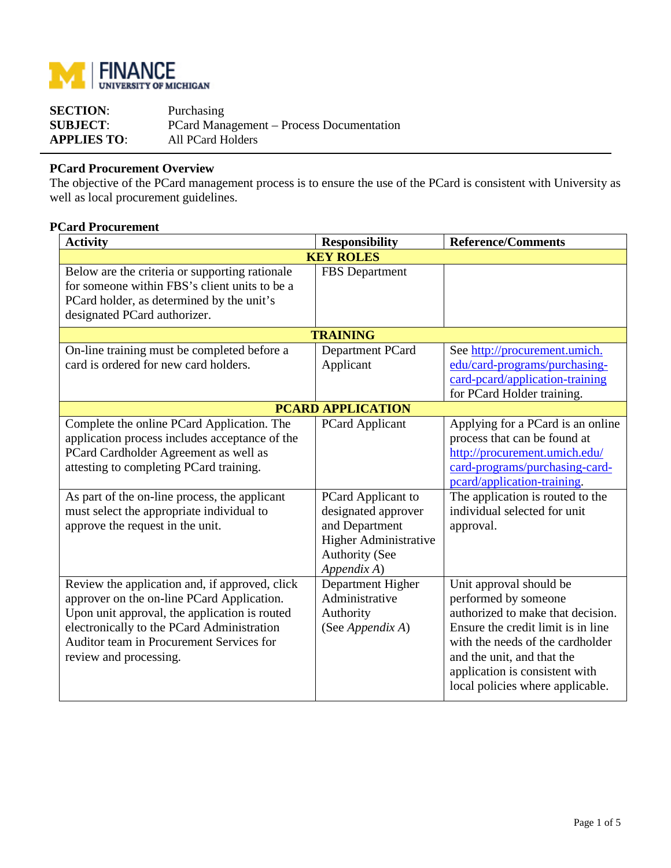

| <b>SECTION:</b>    | Purchasing                                      |
|--------------------|-------------------------------------------------|
| <b>SUBJECT:</b>    | <b>PCard Management – Process Documentation</b> |
| <b>APPLIES TO:</b> | All PCard Holders                               |

## **PCard Procurement Overview**

The objective of the PCard management process is to ensure the use of the PCard is consistent with University as well as local procurement guidelines.

## **PCard Procurement**

| <b>Activity</b>                                                                                                                                                                                                                                                                                                    | <b>Responsibility</b>                                                                                                                                  | <b>Reference/Comments</b>                                                                                                                                                                                                                                          |
|--------------------------------------------------------------------------------------------------------------------------------------------------------------------------------------------------------------------------------------------------------------------------------------------------------------------|--------------------------------------------------------------------------------------------------------------------------------------------------------|--------------------------------------------------------------------------------------------------------------------------------------------------------------------------------------------------------------------------------------------------------------------|
|                                                                                                                                                                                                                                                                                                                    | <b>KEY ROLES</b>                                                                                                                                       |                                                                                                                                                                                                                                                                    |
| Below are the criteria or supporting rationale<br>for someone within FBS's client units to be a<br>PCard holder, as determined by the unit's<br>designated PCard authorizer.                                                                                                                                       | <b>FBS</b> Department                                                                                                                                  |                                                                                                                                                                                                                                                                    |
|                                                                                                                                                                                                                                                                                                                    | <b>TRAINING</b>                                                                                                                                        |                                                                                                                                                                                                                                                                    |
| On-line training must be completed before a<br>card is ordered for new card holders.                                                                                                                                                                                                                               | Department PCard<br>Applicant                                                                                                                          | See http://procurement.umich.<br>edu/card-programs/purchasing-<br>card-peard/application-training<br>for PCard Holder training.                                                                                                                                    |
|                                                                                                                                                                                                                                                                                                                    | <b>PCARD APPLICATION</b>                                                                                                                               |                                                                                                                                                                                                                                                                    |
| Complete the online PCard Application. The<br>application process includes acceptance of the<br>PCard Cardholder Agreement as well as<br>attesting to completing PCard training.<br>As part of the on-line process, the applicant<br>must select the appropriate individual to<br>approve the request in the unit. | <b>PCard Applicant</b><br>PCard Applicant to<br>designated approver<br>and Department<br>Higher Administrative<br><b>Authority (See</b><br>Appendix A) | Applying for a PCard is an online<br>process that can be found at<br>http://procurement.umich.edu/<br>card-programs/purchasing-card-<br>pcard/application-training.<br>The application is routed to the<br>individual selected for unit<br>approval.               |
| Review the application and, if approved, click<br>approver on the on-line PCard Application.<br>Upon unit approval, the application is routed<br>electronically to the PCard Administration<br>Auditor team in Procurement Services for<br>review and processing.                                                  | Department Higher<br>Administrative<br>Authority<br>(See Appendix A)                                                                                   | Unit approval should be<br>performed by someone<br>authorized to make that decision.<br>Ensure the credit limit is in line<br>with the needs of the cardholder<br>and the unit, and that the<br>application is consistent with<br>local policies where applicable. |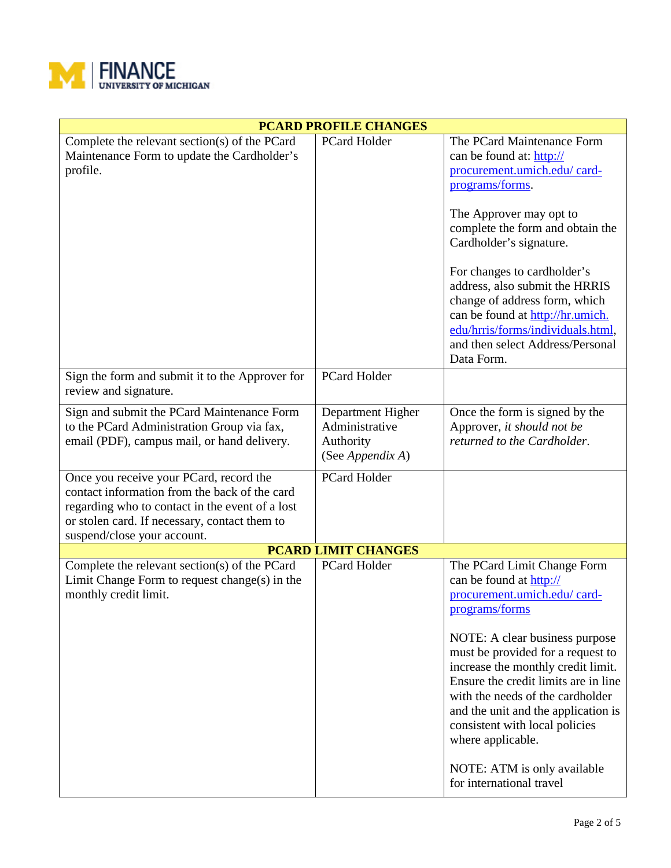

| <b>PCARD PROFILE CHANGES</b>                                                                                                                                                                                                |                                                                      |                                                                                                                                                                                                                                                                                                                                                                                                                                                            |  |  |
|-----------------------------------------------------------------------------------------------------------------------------------------------------------------------------------------------------------------------------|----------------------------------------------------------------------|------------------------------------------------------------------------------------------------------------------------------------------------------------------------------------------------------------------------------------------------------------------------------------------------------------------------------------------------------------------------------------------------------------------------------------------------------------|--|--|
| Complete the relevant section(s) of the PCard<br>Maintenance Form to update the Cardholder's<br>profile.                                                                                                                    | PCard Holder                                                         | The PCard Maintenance Form<br>can be found at: http://<br>procurement.umich.edu/ card-<br>programs/forms.<br>The Approver may opt to<br>complete the form and obtain the<br>Cardholder's signature.<br>For changes to cardholder's<br>address, also submit the HRRIS<br>change of address form, which<br>can be found at http://hr.umich.<br>edu/hrris/forms/individuals.html,<br>and then select Address/Personal<br>Data Form.                           |  |  |
| Sign the form and submit it to the Approver for<br>review and signature.                                                                                                                                                    | <b>PCard Holder</b>                                                  |                                                                                                                                                                                                                                                                                                                                                                                                                                                            |  |  |
| Sign and submit the PCard Maintenance Form<br>to the PCard Administration Group via fax,<br>email (PDF), campus mail, or hand delivery.                                                                                     | Department Higher<br>Administrative<br>Authority<br>(See Appendix A) | Once the form is signed by the<br>Approver, it should not be<br>returned to the Cardholder.                                                                                                                                                                                                                                                                                                                                                                |  |  |
| Once you receive your PCard, record the<br>contact information from the back of the card<br>regarding who to contact in the event of a lost<br>or stolen card. If necessary, contact them to<br>suspend/close your account. | <b>PCard Holder</b>                                                  |                                                                                                                                                                                                                                                                                                                                                                                                                                                            |  |  |
|                                                                                                                                                                                                                             | <b>PCARD LIMIT CHANGES</b>                                           |                                                                                                                                                                                                                                                                                                                                                                                                                                                            |  |  |
| Complete the relevant section(s) of the PCard<br>Limit Change Form to request change $(s)$ in the<br>monthly credit limit.                                                                                                  | PCard Holder                                                         | The PCard Limit Change Form<br>can be found at http://<br>procurement.umich.edu/ card-<br>programs/forms<br>NOTE: A clear business purpose<br>must be provided for a request to<br>increase the monthly credit limit.<br>Ensure the credit limits are in line<br>with the needs of the cardholder<br>and the unit and the application is<br>consistent with local policies<br>where applicable.<br>NOTE: ATM is only available<br>for international travel |  |  |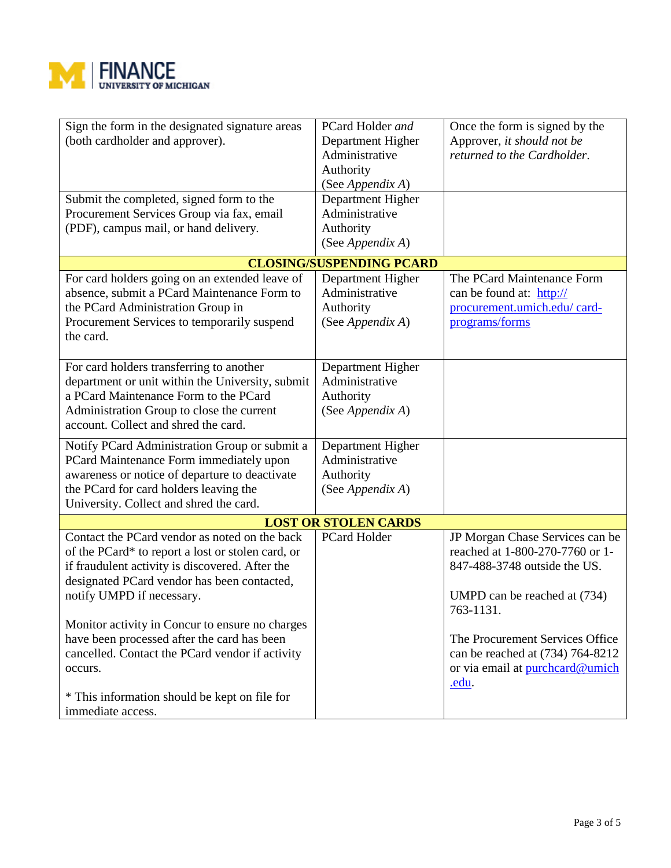

| Sign the form in the designated signature areas   | PCard Holder and                | Once the form is signed by the   |
|---------------------------------------------------|---------------------------------|----------------------------------|
| (both cardholder and approver).                   | Department Higher               | Approver, it should not be       |
|                                                   | Administrative                  | returned to the Cardholder.      |
|                                                   | Authority                       |                                  |
|                                                   | (See Appendix A)                |                                  |
| Submit the completed, signed form to the          | Department Higher               |                                  |
| Procurement Services Group via fax, email         | Administrative                  |                                  |
| (PDF), campus mail, or hand delivery.             | Authority                       |                                  |
|                                                   | (See Appendix A)                |                                  |
|                                                   |                                 |                                  |
|                                                   | <b>CLOSING/SUSPENDING PCARD</b> |                                  |
| For card holders going on an extended leave of    | Department Higher               | The PCard Maintenance Form       |
| absence, submit a PCard Maintenance Form to       | Administrative                  | can be found at: http://         |
| the PCard Administration Group in                 | Authority                       | procurement.umich.edu/ card-     |
| Procurement Services to temporarily suspend       | (See Appendix A)                | programs/forms                   |
| the card.                                         |                                 |                                  |
|                                                   |                                 |                                  |
| For card holders transferring to another          | Department Higher               |                                  |
| department or unit within the University, submit  | Administrative                  |                                  |
| a PCard Maintenance Form to the PCard             | Authority                       |                                  |
| Administration Group to close the current         | (See Appendix A)                |                                  |
| account. Collect and shred the card.              |                                 |                                  |
| Notify PCard Administration Group or submit a     | Department Higher               |                                  |
| PCard Maintenance Form immediately upon           | Administrative                  |                                  |
| awareness or notice of departure to deactivate    | Authority                       |                                  |
| the PCard for card holders leaving the            | (See Appendix A)                |                                  |
| University. Collect and shred the card.           |                                 |                                  |
|                                                   |                                 |                                  |
|                                                   | <b>LOST OR STOLEN CARDS</b>     |                                  |
| Contact the PCard vendor as noted on the back     | PCard Holder                    | JP Morgan Chase Services can be  |
| of the PCard* to report a lost or stolen card, or |                                 | reached at 1-800-270-7760 or 1-  |
| if fraudulent activity is discovered. After the   |                                 | 847-488-3748 outside the US.     |
| designated PCard vendor has been contacted,       |                                 |                                  |
| notify UMPD if necessary.                         |                                 | UMPD can be reached at (734)     |
|                                                   |                                 | 763-1131.                        |
| Monitor activity in Concur to ensure no charges   |                                 |                                  |
| have been processed after the card has been       |                                 | The Procurement Services Office  |
| cancelled. Contact the PCard vendor if activity   |                                 | can be reached at (734) 764-8212 |
| occurs.                                           |                                 | or via email at purchcard@umich  |
|                                                   |                                 | .edu.                            |
| * This information should be kept on file for     |                                 |                                  |
| immediate access.                                 |                                 |                                  |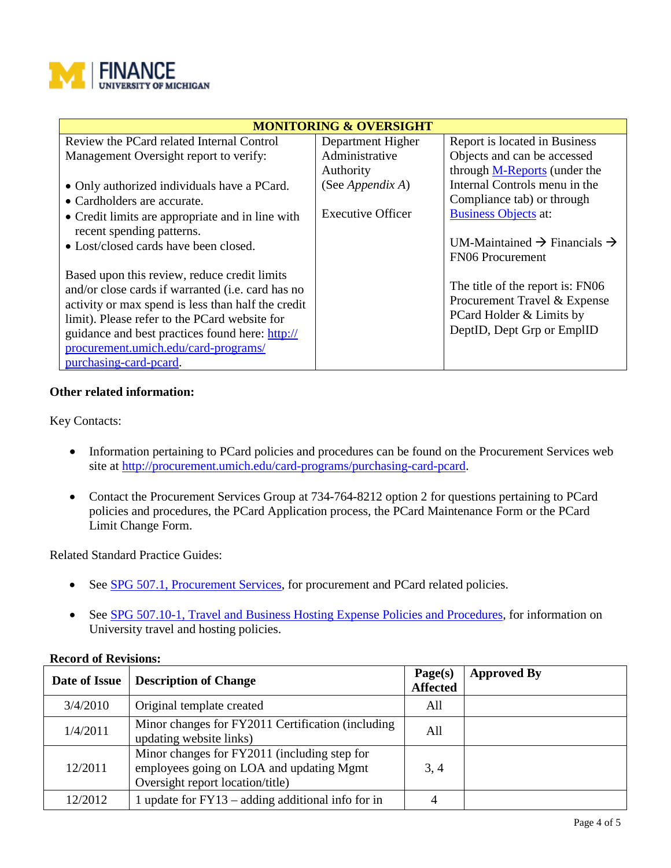

| <b>MONITORING &amp; OVERSIGHT</b>                  |                          |                                                      |  |
|----------------------------------------------------|--------------------------|------------------------------------------------------|--|
| Review the PCard related Internal Control          | Department Higher        | Report is located in Business                        |  |
| Management Oversight report to verify:             | Administrative           | Objects and can be accessed                          |  |
|                                                    | Authority                | through M-Reports (under the                         |  |
| • Only authorized individuals have a PCard.        | (See Appendix A)         | Internal Controls menu in the                        |  |
| • Cardholders are accurate.                        |                          | Compliance tab) or through                           |  |
| • Credit limits are appropriate and in line with   | <b>Executive Officer</b> | <b>Business Objects at:</b>                          |  |
| recent spending patterns.                          |                          |                                                      |  |
| • Lost/closed cards have been closed.              |                          | UM-Maintained $\rightarrow$ Financials $\rightarrow$ |  |
|                                                    |                          | <b>FN06</b> Procurement                              |  |
| Based upon this review, reduce credit limits       |                          |                                                      |  |
| and/or close cards if warranted (i.e. card has no  |                          | The title of the report is: FN06                     |  |
| activity or max spend is less than half the credit |                          | Procurement Travel & Expense                         |  |
| limit). Please refer to the PCard website for      |                          | PCard Holder & Limits by                             |  |
| guidance and best practices found here: http://    |                          | DeptID, Dept Grp or EmplID                           |  |
| procurement.umich.edu/card-programs/               |                          |                                                      |  |
| purchasing-card-peard.                             |                          |                                                      |  |

## **Other related information:**

Key Contacts:

- Information pertaining to PCard policies and procedures can be found on the Procurement Services web site at [http://procurement.umich.edu/card-programs/purchasing-card-pcard.](http://procurement.umich.edu/card-programs/purchasing-card-pcard)
- Contact the Procurement Services Group at 734-764-8212 option 2 for questions pertaining to PCard policies and procedures, the PCard Application process, the PCard Maintenance Form or the PCard Limit Change Form.

Related Standard Practice Guides:

- See [SPG 507.1, Procurement Services,](http://spg.umich.edu/pdf/507.01.pdf) for procurement and PCard related policies.
- See [SPG 507.10-1, Travel and Business Hosting Expense Policies and Procedures,](http://spg.umich.edu/pdf/507.10-1.pdf) for information on University travel and hosting policies.

| Date of Issue | <b>Description of Change</b>                                                                                                 | Page(s)<br><b>Affected</b> | <b>Approved By</b> |
|---------------|------------------------------------------------------------------------------------------------------------------------------|----------------------------|--------------------|
| 3/4/2010      | Original template created                                                                                                    | All                        |                    |
| 1/4/2011      | Minor changes for FY2011 Certification (including<br>updating website links)                                                 | All                        |                    |
| 12/2011       | Minor changes for FY2011 (including step for<br>employees going on LOA and updating Mgmt<br>Oversight report location/title) | 3, 4                       |                    |
| 12/2012       | 1 update for $FY13 - adding additional info for in$                                                                          | 4                          |                    |

## **Record of Revisions:**